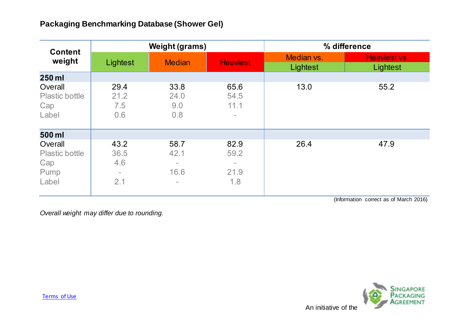| <b>Content</b><br>weight                          | <b>Weight (grams)</b>                        |                                                                              |                                                  | % difference           |                          |
|---------------------------------------------------|----------------------------------------------|------------------------------------------------------------------------------|--------------------------------------------------|------------------------|--------------------------|
|                                                   | Lightest                                     | <b>Median</b>                                                                | <b>Heaviest</b>                                  | Median vs.<br>Lightest | Heaviest vs.<br>Lightest |
| 250 ml                                            |                                              |                                                                              |                                                  |                        |                          |
| Overall<br><b>Plastic bottle</b><br>Cap<br>Label  | 29.4<br>21.2<br>7.5<br>0.6                   | 33.8<br>24.0<br>9.0<br>0.8                                                   | 65.6<br>54.5<br>11.1<br>$\overline{\phantom{0}}$ | 13.0                   | 55.2                     |
| 500 ml                                            |                                              |                                                                              |                                                  |                        |                          |
| Overall<br>Plastic bottle<br>Cap<br>Pump<br>Label | 43.2<br>36.5<br>4.6<br>$\overline{a}$<br>2.1 | 58.7<br>42.1<br>$\overline{\phantom{a}}$<br>16.6<br>$\overline{\phantom{a}}$ | 82.9<br>59.2<br>$\blacksquare$<br>21.9<br>1.8    | 26.4                   | 47.9                     |

(Information correct as of March 2016)

*Overall weight may differ due to rounding.*

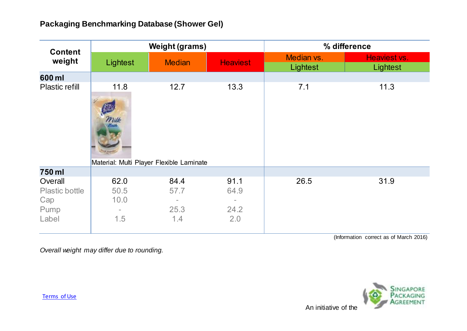| <b>Content</b><br>weight                                 | <b>Weight (grams)</b>                                    |                                                         |                                                  | % difference           |                          |
|----------------------------------------------------------|----------------------------------------------------------|---------------------------------------------------------|--------------------------------------------------|------------------------|--------------------------|
|                                                          | Lightest                                                 | <b>Median</b>                                           | <b>Heaviest</b>                                  | Median vs.<br>Lightest | Heaviest vs.<br>Lightest |
| 600 ml                                                   |                                                          |                                                         |                                                  |                        |                          |
| <b>Plastic refill</b>                                    | 11.8<br>Milk<br>Material: Multi Player Flexible Laminate | 12.7                                                    | 13.3                                             | 7.1                    | 11.3                     |
| 750 ml                                                   |                                                          |                                                         |                                                  |                        |                          |
| Overall<br><b>Plastic bottle</b><br>Cap<br>Pump<br>Label | 62.0<br>50.5<br>10.0<br>$\overline{\phantom{a}}$<br>1.5  | 84.4<br>57.7<br>$\overline{\phantom{0}}$<br>25.3<br>1.4 | 91.1<br>64.9<br>$\qquad \qquad =$<br>24.2<br>2.0 | 26.5                   | 31.9                     |

(Information correct as of March 2016)

*Overall weight may differ due to rounding.*

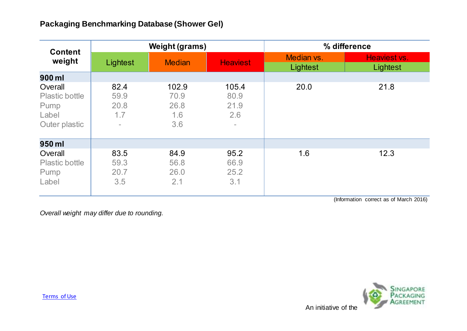| <b>Content</b><br>weight                                    | <b>Weight (grams)</b>                                   |                                     |                                          | % difference           |                          |
|-------------------------------------------------------------|---------------------------------------------------------|-------------------------------------|------------------------------------------|------------------------|--------------------------|
|                                                             | Lightest                                                | <b>Median</b>                       | <b>Heaviest</b>                          | Median vs.<br>Lightest | Heaviest vs.<br>Lightest |
| 900 ml                                                      |                                                         |                                     |                                          |                        |                          |
| Overall<br>Plastic bottle<br>Pump<br>Label<br>Outer plastic | 82.4<br>59.9<br>20.8<br>1.7<br>$\overline{\phantom{0}}$ | 102.9<br>70.9<br>26.8<br>1.6<br>3.6 | 105.4<br>80.9<br>21.9<br>2.6<br>$\equiv$ | 20.0                   | 21.8                     |
| 950 ml                                                      |                                                         |                                     |                                          |                        |                          |
| Overall<br>Plastic bottle<br>Pump<br>Label                  | 83.5<br>59.3<br>20.7<br>3.5                             | 84.9<br>56.8<br>26.0<br>2.1         | 95.2<br>66.9<br>25.2<br>3.1              | 1.6                    | 12.3                     |

(Information correct as of March 2016)

*Overall weight may differ due to rounding.*